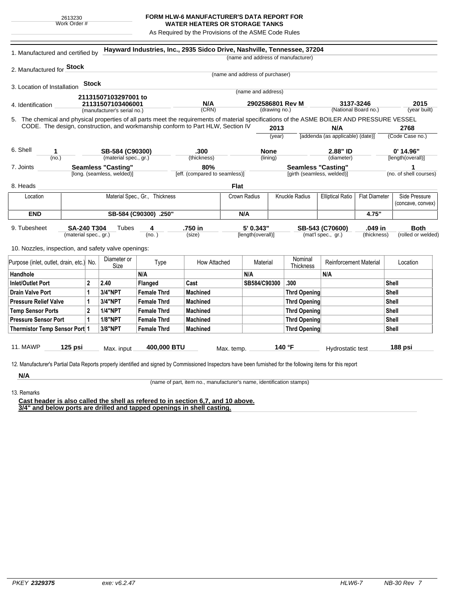## **FORM HLW-6 MANUFACTURER'S DATA REPORT FOR WATER HEATERS OR STORAGE TANKS**

As Required by the Provisions of the ASME Code Rules

|                                                                                                                                              |                                |                                           |                    |                               |                                 |                                       | (name and address of manufacturer) |                                  |                                   |                                    |
|----------------------------------------------------------------------------------------------------------------------------------------------|--------------------------------|-------------------------------------------|--------------------|-------------------------------|---------------------------------|---------------------------------------|------------------------------------|----------------------------------|-----------------------------------|------------------------------------|
|                                                                                                                                              |                                |                                           |                    |                               |                                 |                                       |                                    |                                  |                                   |                                    |
| 2. Manufactured for Stock                                                                                                                    |                                |                                           |                    |                               | (name and address of purchaser) |                                       |                                    |                                  |                                   |                                    |
| 3. Location of Installation                                                                                                                  | Stock                          |                                           |                    |                               |                                 |                                       |                                    |                                  |                                   |                                    |
|                                                                                                                                              |                                |                                           |                    |                               |                                 | (name and address)                    |                                    |                                  |                                   |                                    |
| 4. Identification                                                                                                                            |                                | 21131507103297001 to<br>21131507103406001 |                    | N/A                           |                                 | 2902586801 Rev M                      |                                    |                                  | 3137-3246                         | 2015                               |
|                                                                                                                                              | (manufacturer's serial no.)    |                                           |                    | (CRN)                         |                                 | (drawing no.)                         |                                    | (National Board no.)             |                                   | (year built)                       |
| 5. The chemical and physical properties of all parts meet the requirements of material specifications of the ASME BOILER AND PRESSURE VESSEL |                                |                                           |                    |                               |                                 |                                       |                                    |                                  |                                   |                                    |
| CODE. The design, construction, and workmanship conform to Part HLW, Section IV                                                              |                                |                                           |                    |                               |                                 | 2013                                  |                                    | N/A                              |                                   | 2768                               |
|                                                                                                                                              |                                |                                           |                    |                               |                                 | (year)                                |                                    | [addenda (as applicable) (date)] |                                   | (Code Case no.)                    |
| 6. Shell<br>1                                                                                                                                |                                | SB-584 (C90300)                           |                    | .300                          |                                 | <b>None</b>                           |                                    | 2.88" ID                         |                                   | $0'$ 14.96"                        |
| (no.)                                                                                                                                        | (material spec., gr.)          |                                           |                    | (thickness)                   |                                 | (lining)                              |                                    | (diameter)                       |                                   | [length(overall)]                  |
| 7. Joints                                                                                                                                    | <b>Seamless "Casting"</b>      |                                           |                    | 80%                           |                                 | <b>Seamless "Casting"</b>             |                                    |                                  |                                   | 1                                  |
| [long. (seamless, welded)]                                                                                                                   |                                |                                           |                    | [eff. (compared to seamless)] |                                 | [girth (seamless, welded)]            |                                    |                                  |                                   | (no. of shell courses)             |
| 8. Heads                                                                                                                                     |                                |                                           |                    |                               | Flat                            |                                       |                                    |                                  |                                   |                                    |
| Location                                                                                                                                     | Material Spec., Gr., Thickness |                                           |                    |                               |                                 | Knuckle Radius<br><b>Crown Radius</b> |                                    | <b>Elliptical Ratio</b>          | <b>Flat Diameter</b>              | Side Pressure<br>(concave, convex) |
| <b>END</b>                                                                                                                                   | SB-584 (C90300) .250"          |                                           |                    |                               | N/A                             |                                       |                                    |                                  | 4.75"                             |                                    |
| 9. Tubesheet                                                                                                                                 | <b>SA-240 T304</b>             | Tubes                                     | 4                  | .750 in                       |                                 | 5' 0.343"                             |                                    | SB-543 (C70600)                  | .049 in                           | <b>Both</b>                        |
| (material spec., gr.)<br>(no. )                                                                                                              |                                |                                           |                    | (size)                        | [length(overall)]               |                                       | (mat'l spec., gr.)                 |                                  | (thickness)<br>(rolled or welded) |                                    |
| 10. Nozzles, inspection, and safety valve openings:                                                                                          |                                |                                           |                    |                               |                                 |                                       |                                    |                                  |                                   |                                    |
|                                                                                                                                              |                                |                                           |                    |                               |                                 |                                       | Nominal                            |                                  |                                   |                                    |
| Purpose (inlet, outlet, drain, etc.) No.                                                                                                     |                                | Diameter or<br>Size                       | Type               | How Attached                  |                                 | Material                              | Thickness                          | <b>Reinforcement Material</b>    |                                   | Location                           |
| Handhole                                                                                                                                     |                                |                                           | N/A                |                               | N/A                             |                                       |                                    | N/A                              |                                   |                                    |
| <b>Inlet/Outlet Port</b>                                                                                                                     | $\mathbf{2}$                   | 2.40                                      | Flanged            | Cast                          |                                 | SB584/C90300                          | .300                               |                                  |                                   | Shell                              |
| <b>Drain Valve Port</b>                                                                                                                      | 1                              | 3/4"NPT                                   | <b>Female Thrd</b> | Machined                      |                                 |                                       | <b>Thrd Opening</b>                |                                  |                                   | Shell                              |
| <b>Pressure Relief Valve</b>                                                                                                                 | 1                              | 3/4"NPT                                   | <b>Female Thrd</b> | <b>Machined</b>               |                                 |                                       | <b>Thrd Opening</b>                |                                  |                                   | Shell                              |
| <b>Temp Sensor Ports</b>                                                                                                                     | $\overline{2}$                 | <b>1/4"NPT</b>                            | <b>Female Thrd</b> | Machined                      |                                 |                                       | <b>Thrd Opening</b>                |                                  |                                   | <b>Shell</b>                       |
| <b>Pressure Sensor Port</b>                                                                                                                  | $\mathbf{1}$                   | <b>1/8"NPT</b>                            | <b>Female Thrd</b> | Machined                      |                                 |                                       | <b>Thrd Opening</b>                |                                  |                                   | <b>Shell</b>                       |
| Thermistor Temp Sensor Port 1                                                                                                                |                                | 3/8"NPT                                   | <b>Female Thrd</b> | Machined                      |                                 |                                       | <b>Thrd Opening</b>                |                                  |                                   | <b>Shell</b>                       |
|                                                                                                                                              |                                |                                           |                    |                               |                                 |                                       |                                    |                                  |                                   |                                    |
| <b>11. MAWP</b><br>125 psi                                                                                                                   |                                | 400,000 BTU<br>Max. input                 |                    |                               | Max. temp.                      | 140 °F                                |                                    | Hydrostatic test                 |                                   | 188 psi                            |

(name of part, item no., manufacturer's name, identification stamps)

13. Remarks

**Cast header is also called the shell as refered to in section 6,7, and 10 above. 3/4" and below ports are drilled and tapped openings in shell casting.**